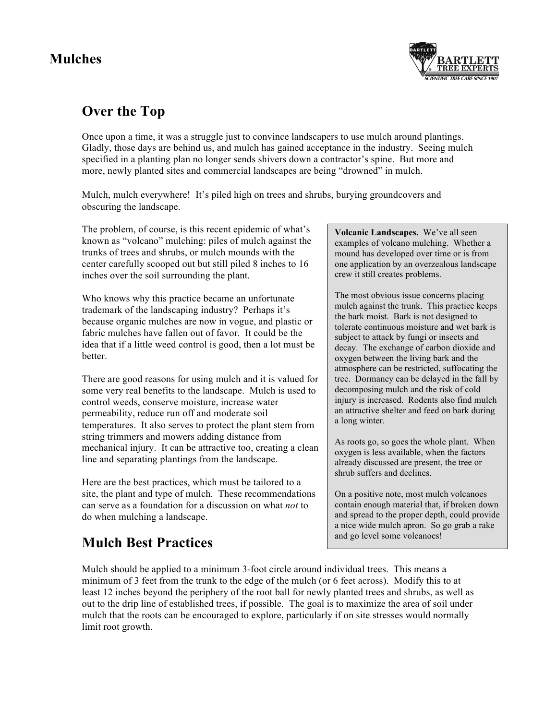## **Mulches**



## **Over the Top**

Once upon a time, it was a struggle just to convince landscapers to use mulch around plantings. Gladly, those days are behind us, and mulch has gained acceptance in the industry. Seeing mulch specified in a planting plan no longer sends shivers down a contractor's spine. But more and more, newly planted sites and commercial landscapes are being "drowned" in mulch.

Mulch, mulch everywhere! It's piled high on trees and shrubs, burying groundcovers and obscuring the landscape.

The problem, of course, is this recent epidemic of what's known as "volcano" mulching: piles of mulch against the trunks of trees and shrubs, or mulch mounds with the center carefully scooped out but still piled 8 inches to 16 inches over the soil surrounding the plant.

Who knows why this practice became an unfortunate trademark of the landscaping industry? Perhaps it's because organic mulches are now in vogue, and plastic or fabric mulches have fallen out of favor. It could be the idea that if a little weed control is good, then a lot must be better.

There are good reasons for using mulch and it is valued for some very real benefits to the landscape. Mulch is used to control weeds, conserve moisture, increase water permeability, reduce run off and moderate soil temperatures. It also serves to protect the plant stem from string trimmers and mowers adding distance from mechanical injury. It can be attractive too, creating a clean line and separating plantings from the landscape.

Here are the best practices, which must be tailored to a site, the plant and type of mulch. These recommendations can serve as a foundation for a discussion on what *not* to do when mulching a landscape.

## **Mulch Best Practices**

**Volcanic Landscapes.** We've all seen examples of volcano mulching. Whether a mound has developed over time or is from one application by an overzealous landscape crew it still creates problems.

The most obvious issue concerns placing mulch against the trunk. This practice keeps the bark moist. Bark is not designed to tolerate continuous moisture and wet bark is subject to attack by fungi or insects and decay. The exchange of carbon dioxide and oxygen between the living bark and the atmosphere can be restricted, suffocating the tree. Dormancy can be delayed in the fall by decomposing mulch and the risk of cold injury is increased. Rodents also find mulch an attractive shelter and feed on bark during a long winter.

As roots go, so goes the whole plant. When oxygen is less available, when the factors already discussed are present, the tree or shrub suffers and declines.

On a positive note, most mulch volcanoes contain enough material that, if broken down and spread to the proper depth, could provide a nice wide mulch apron. So go grab a rake and go level some volcanoes!

Mulch should be applied to a minimum 3-foot circle around individual trees. This means a minimum of 3 feet from the trunk to the edge of the mulch (or 6 feet across). Modify this to at least 12 inches beyond the periphery of the root ball for newly planted trees and shrubs, as well as out to the drip line of established trees, if possible. The goal is to maximize the area of soil under mulch that the roots can be encouraged to explore, particularly if on site stresses would normally limit root growth.